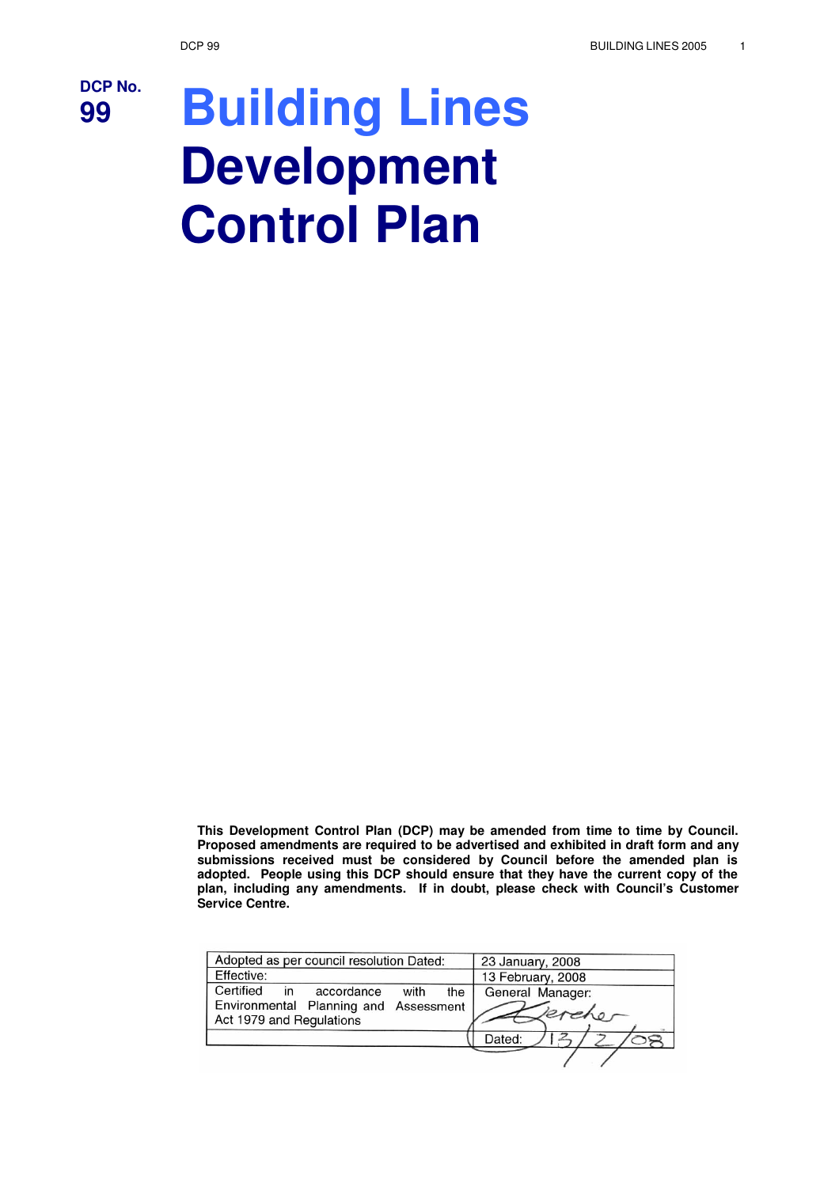

# **<sup>99</sup> Building Lines Development Control Plan**

**This Development Control Plan (DCP) may be amended from time to time by Council. Proposed amendments are required to be advertised and exhibited in draft form and any submissions received must be considered by Council before the amended plan is adopted. People using this DCP should ensure that they have the current copy of the plan, including any amendments. If in doubt, please check with Council's Customer Service Centre.**

| Adopted as per council resolution Dated:                               |      |     | 23 January, 2008           |
|------------------------------------------------------------------------|------|-----|----------------------------|
| Effective:                                                             |      |     | 13 February, 2008          |
| Certified<br>accordance<br>in<br>Environmental Planning and Assessment | with | the | General Manager:<br>kreher |
| Act 1979 and Regulations                                               |      |     |                            |
|                                                                        |      |     | Dated:                     |
|                                                                        |      |     |                            |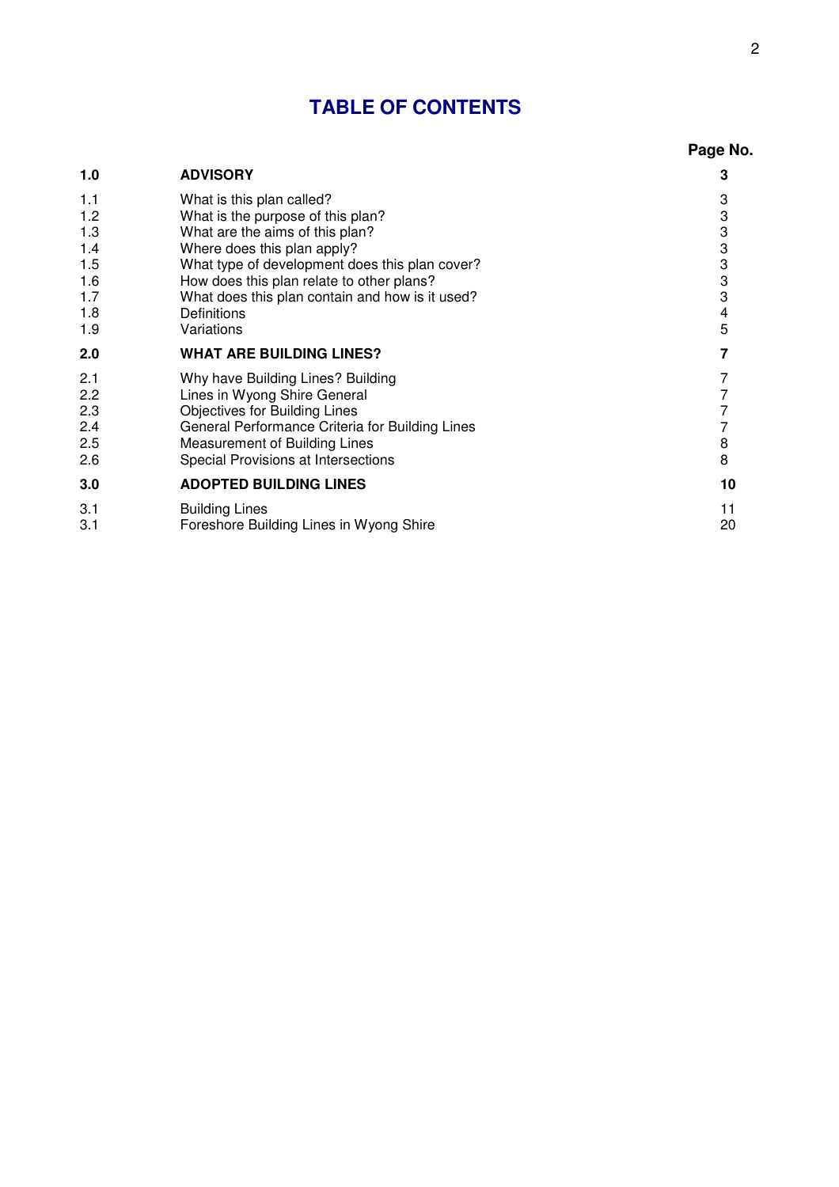### **TABLE OF CONTENTS**

|                                                             |                                                                                                                                                                                                                                                                                                                 | Page No.                                  |
|-------------------------------------------------------------|-----------------------------------------------------------------------------------------------------------------------------------------------------------------------------------------------------------------------------------------------------------------------------------------------------------------|-------------------------------------------|
| 1.0                                                         | <b>ADVISORY</b>                                                                                                                                                                                                                                                                                                 | 3                                         |
| 1.1<br>1.2<br>1.3<br>1.4<br>1.5<br>1.6<br>1.7<br>1.8<br>1.9 | What is this plan called?<br>What is the purpose of this plan?<br>What are the aims of this plan?<br>Where does this plan apply?<br>What type of development does this plan cover?<br>How does this plan relate to other plans?<br>What does this plan contain and how is it used?<br>Definitions<br>Variations | 3<br>3<br>3<br>3<br>3<br>3<br>3<br>4<br>5 |
| 2.0                                                         | <b>WHAT ARE BUILDING LINES?</b>                                                                                                                                                                                                                                                                                 | 7                                         |
| 2.1<br>2.2<br>2.3<br>2.4<br>2.5<br>2.6                      | Why have Building Lines? Building<br>Lines in Wyong Shire General<br><b>Objectives for Building Lines</b><br>General Performance Criteria for Building Lines<br>Measurement of Building Lines<br>Special Provisions at Intersections                                                                            | 7<br>7<br>7<br>8<br>8                     |
| 3.0                                                         | <b>ADOPTED BUILDING LINES</b>                                                                                                                                                                                                                                                                                   | 10                                        |
| 3.1<br>3.1                                                  | <b>Building Lines</b><br>Foreshore Building Lines in Wyong Shire                                                                                                                                                                                                                                                | 11<br>20                                  |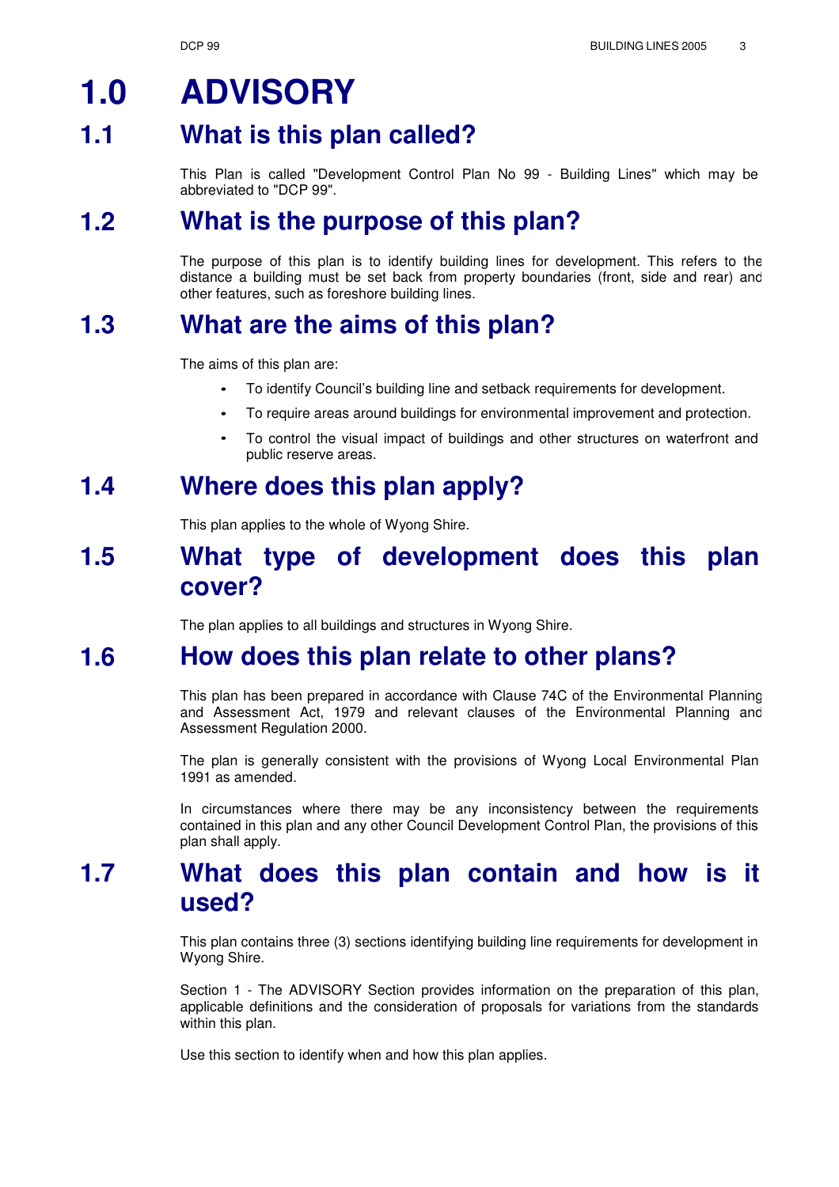### **1.0 ADVISORY**

#### **1.1 What is this plan called?**

This Plan is called "Development Control Plan No 99 - Building Lines" which may be abbreviated to "DCP 99".

#### **What is the purpose of this plan? 1.2**

The purpose of this plan is to identify building lines for development. This refers to the distance a building must be set back from property boundaries (front, side and rear) and other features, such as foreshore building lines.

#### **What are the aims of this plan? 1.3**

The aims of this plan are:

- To identify Council's building line and setback requirements for development. •
- To require areas around buildings for environmental improvement and protection. •
- To control the visual impact of buildings and other structures on waterfront and public reserve areas. •

### **1.4 Where does this plan apply?**

This plan applies to the whole of Wyong Shire.

### **1.5 What type of development does this plan cover?**

The plan applies to all buildings and structures in Wyong Shire.

#### **How does this plan relate to other plans? 1.6**

This plan has been prepared in accordance with Clause 74C of the Environmental Planning and Assessment Act, 1979 and relevant clauses of the Environmental Planning and Assessment Regulation 2000.

The plan is generally consistent with the provisions of Wyong Local Environmental Plan 1991 as amended.

In circumstances where there may be any inconsistency between the requirements contained in this plan and any other Council Development Control Plan, the provisions of this plan shall apply.

### **1.7 What does this plan contain and how is it used?**

This plan contains three (3) sections identifying building line requirements for development in Wyong Shire.

Section 1 - The ADVISORY Section provides information on the preparation of this plan, applicable definitions and the consideration of proposals for variations from the standards within this plan.

Use this section to identify when and how this plan applies.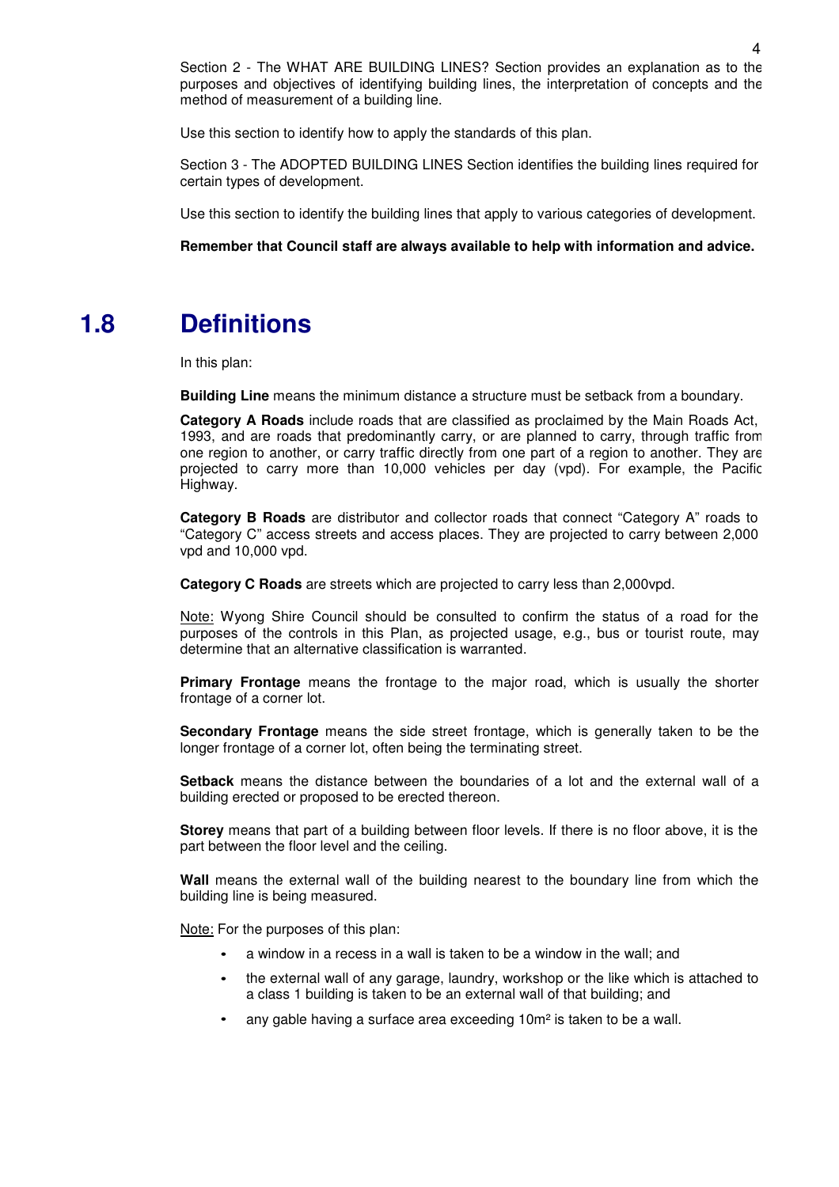Section 2 - The WHAT ARE BUILDING LINES? Section provides an explanation as to the purposes and objectives of identifying building lines, the interpretation of concepts and the method of measurement of a building line.

Use this section to identify how to apply the standards of this plan.

Section 3 - The ADOPTED BUILDING LINES Section identifies the building lines required for certain types of development.

Use this section to identify the building lines that apply to various categories of development.

**Remember that Council staff are always available to help with information and advice.**

### **1.8 Definitions**

In this plan:

**Building Line** means the minimum distance a structure must be setback from a boundary.

**Category A Roads** include roads that are classified as proclaimed by the Main Roads Act, 1993, and are roads that predominantly carry, or are planned to carry, through traffic from one region to another, or carry traffic directly from one part of a region to another. They are projected to carry more than 10,000 vehicles per day (vpd). For example, the Pacific Highway.

**Category B Roads** are distributor and collector roads that connect "Category A" roads to "Category C" access streets and access places. They are projected to carry between 2,000 vpd and 10,000 vpd.

**Category C Roads** are streets which are projected to carry less than 2,000vpd.

Note: Wyong Shire Council should be consulted to confirm the status of a road for the purposes of the controls in this Plan, as projected usage, e.g., bus or tourist route, may determine that an alternative classification is warranted.

**Primary Frontage** means the frontage to the major road, which is usually the shorter frontage of a corner lot.

**Secondary Frontage** means the side street frontage, which is generally taken to be the longer frontage of a corner lot, often being the terminating street.

**Setback** means the distance between the boundaries of a lot and the external wall of a building erected or proposed to be erected thereon.

**Storey** means that part of a building between floor levels. If there is no floor above, it is the part between the floor level and the ceiling.

**Wall** means the external wall of the building nearest to the boundary line from which the building line is being measured.

Note: For the purposes of this plan:

- a window in a recess in a wall is taken to be a window in the wall; and •
- the external wall of any garage, laundry, workshop or the like which is attached to a class 1 building is taken to be an external wall of that building; and •
- any gable having a surface area exceeding 10m² is taken to be a wall. •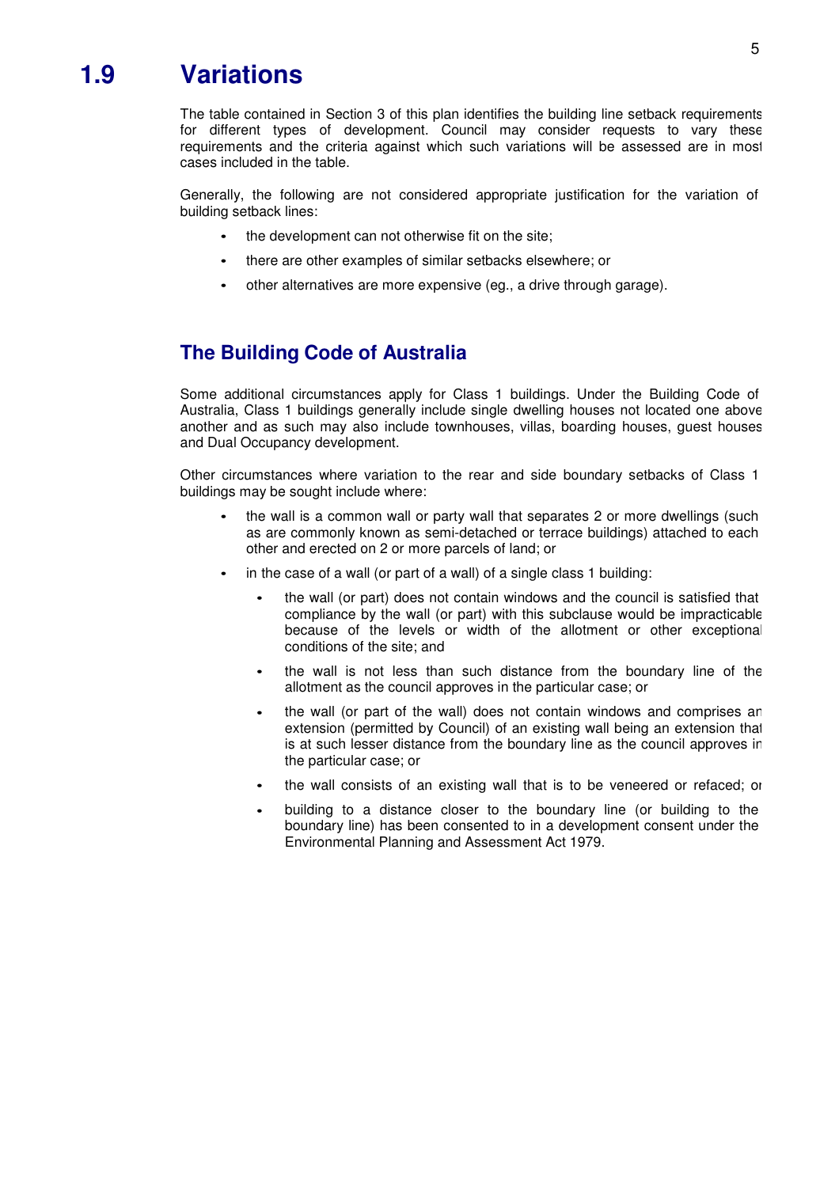### **1.9 Variations**

The table contained in Section 3 of this plan identifies the building line setback requirements for different types of development. Council may consider requests to vary these requirements and the criteria against which such variations will be assessed are in most cases included in the table.

Generally, the following are not considered appropriate justification for the variation of building setback lines:

- the development can not otherwise fit on the site; •
- there are other examples of similar setbacks elsewhere; or •
- other alternatives are more expensive (eg., a drive through garage). •

### **The Building Code of Australia**

Some additional circumstances apply for Class 1 buildings. Under the Building Code of Australia, Class 1 buildings generally include single dwelling houses not located one above another and as such may also include townhouses, villas, boarding houses, guest houses and Dual Occupancy development.

Other circumstances where variation to the rear and side boundary setbacks of Class 1 buildings may be sought include where:

- the wall is a common wall or party wall that separates 2 or more dwellings (such as are commonly known as semi-detached or terrace buildings) attached to each other and erected on 2 or more parcels of land; or
- in the case of a wall (or part of a wall) of a single class 1 building:
	- the wall (or part) does not contain windows and the council is satisfied that compliance by the wall (or part) with this subclause would be impracticable because of the levels or width of the allotment or other exceptional conditions of the site; and
	- the wall is not less than such distance from the boundary line of the allotment as the council approves in the particular case; or •
	- the wall (or part of the wall) does not contain windows and comprises an extension (permitted by Council) of an existing wall being an extension that is at such lesser distance from the boundary line as the council approves in the particular case; or •
	- the wall consists of an existing wall that is to be veneered or refaced; or •
	- building to a distance closer to the boundary line (or building to the boundary line) has been consented to in a development consent under the Environmental Planning and Assessment Act 1979. •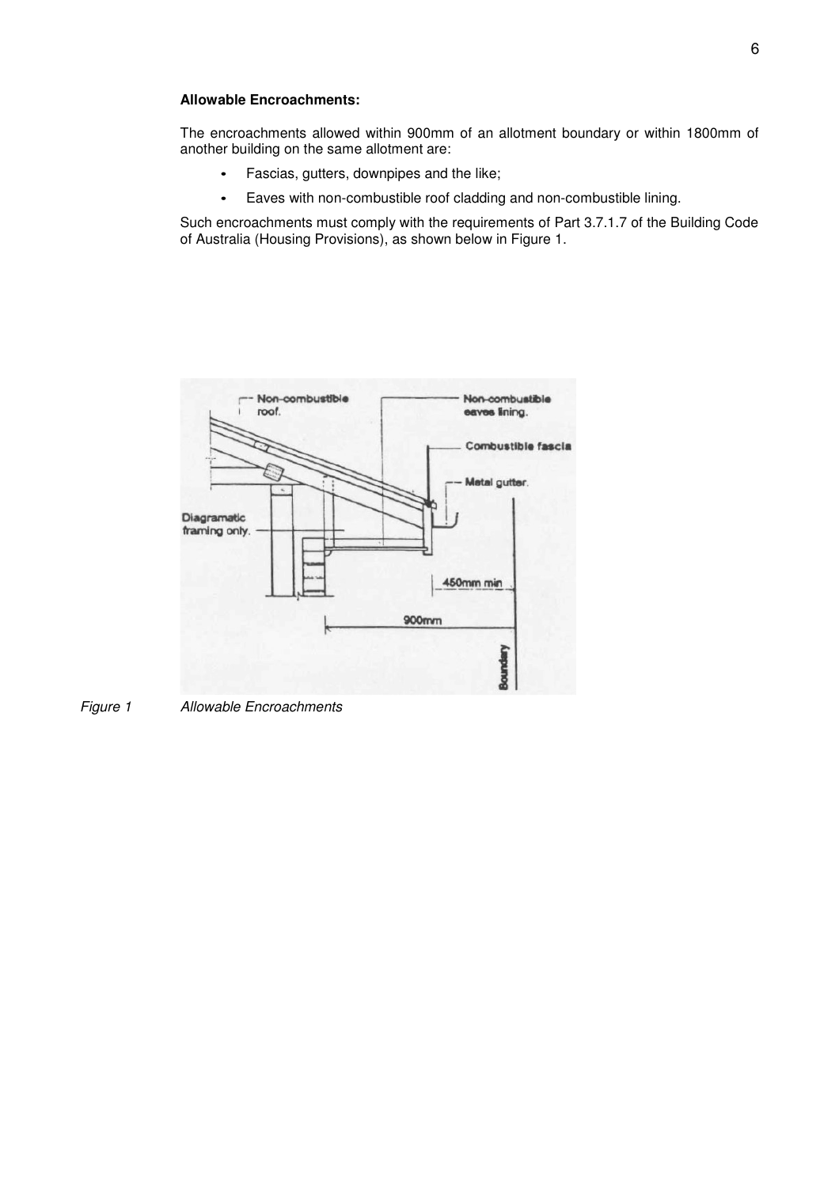#### **Allowable Encroachments:**

The encroachments allowed within 900mm of an allotment boundary or within 1800mm of another building on the same allotment are:

- Fascias, gutters, downpipes and the like;
- Eaves with non-combustible roof cladding and non-combustible lining.

Such encroachments must comply with the requirements of Part 3.7.1.7 of the Building Code of Australia (Housing Provisions), as shown below in Figure 1.



Figure 1 Allowable Encroachments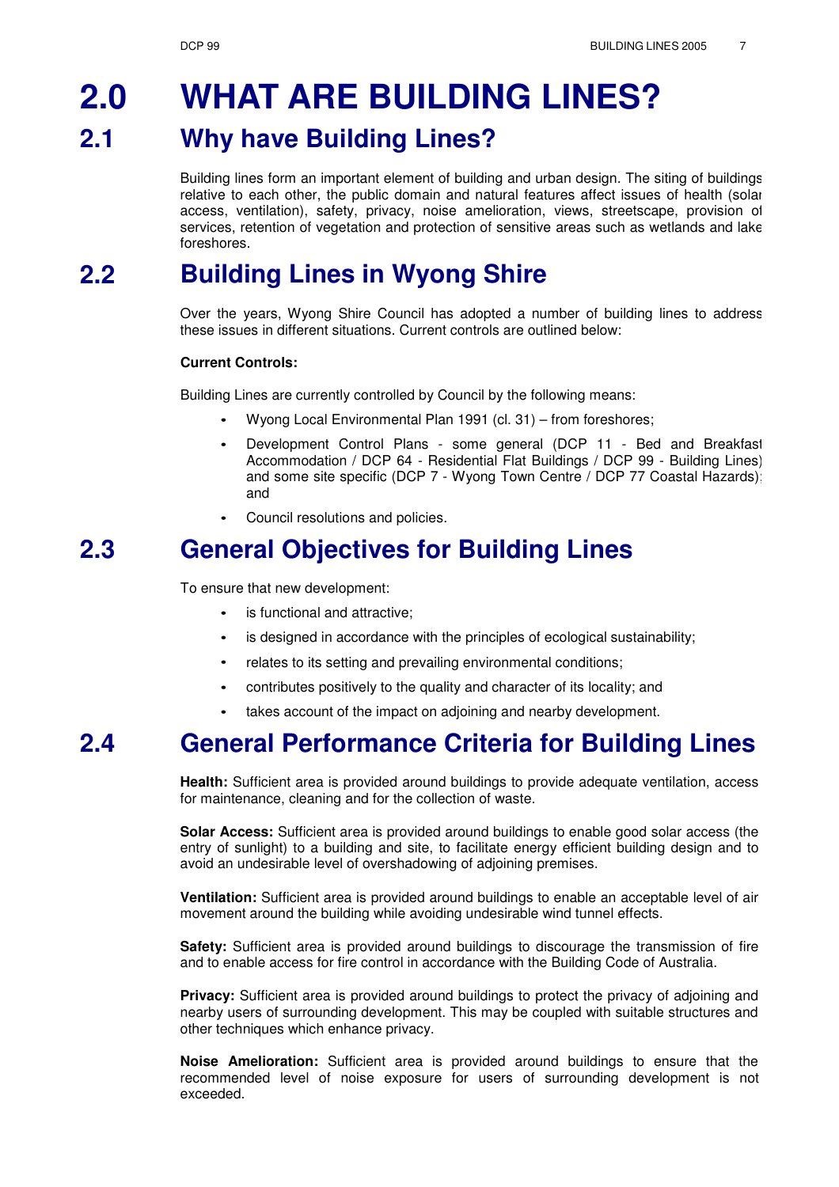#### **2.0 2.1 WHAT ARE BUILDING LINES? Why have Building Lines?**

Building lines form an important element of building and urban design. The siting of buildings relative to each other, the public domain and natural features affect issues of health (solar access, ventilation), safety, privacy, noise amelioration, views, streetscape, provision of services, retention of vegetation and protection of sensitive areas such as wetlands and lake foreshores.

#### **Building Lines in Wyong Shire 2.2**

Over the years, Wyong Shire Council has adopted a number of building lines to address these issues in different situations. Current controls are outlined below:

#### **Current Controls:**

Building Lines are currently controlled by Council by the following means:

- Wyong Local Environmental Plan 1991 (cl. 31) from foreshores; •
- Development Control Plans some general (DCP 11 Bed and Breakfast Accommodation / DCP 64 - Residential Flat Buildings / DCP 99 - Building Lines) and some site specific (DCP 7 - Wyong Town Centre / DCP 77 Coastal Hazards); and •
- Council resolutions and policies. •

### **2.3 General Objectives for Building Lines**

To ensure that new development:

- is functional and attractive; •
- is designed in accordance with the principles of ecological sustainability; •
- relates to its setting and prevailing environmental conditions; •
- contributes positively to the quality and character of its locality; and •
- takes account of the impact on adjoining and nearby development. •

### **2.4 General Performance Criteria for Building Lines**

**Health:** Sufficient area is provided around buildings to provide adequate ventilation, access for maintenance, cleaning and for the collection of waste.

**Solar Access:** Sufficient area is provided around buildings to enable good solar access (the entry of sunlight) to a building and site, to facilitate energy efficient building design and to avoid an undesirable level of overshadowing of adjoining premises.

**Ventilation:** Sufficient area is provided around buildings to enable an acceptable level of air movement around the building while avoiding undesirable wind tunnel effects.

**Safety:** Sufficient area is provided around buildings to discourage the transmission of fire and to enable access for fire control in accordance with the Building Code of Australia.

**Privacy:** Sufficient area is provided around buildings to protect the privacy of adjoining and nearby users of surrounding development. This may be coupled with suitable structures and other techniques which enhance privacy.

**Noise Amelioration:** Sufficient area is provided around buildings to ensure that the recommended level of noise exposure for users of surrounding development is not exceeded.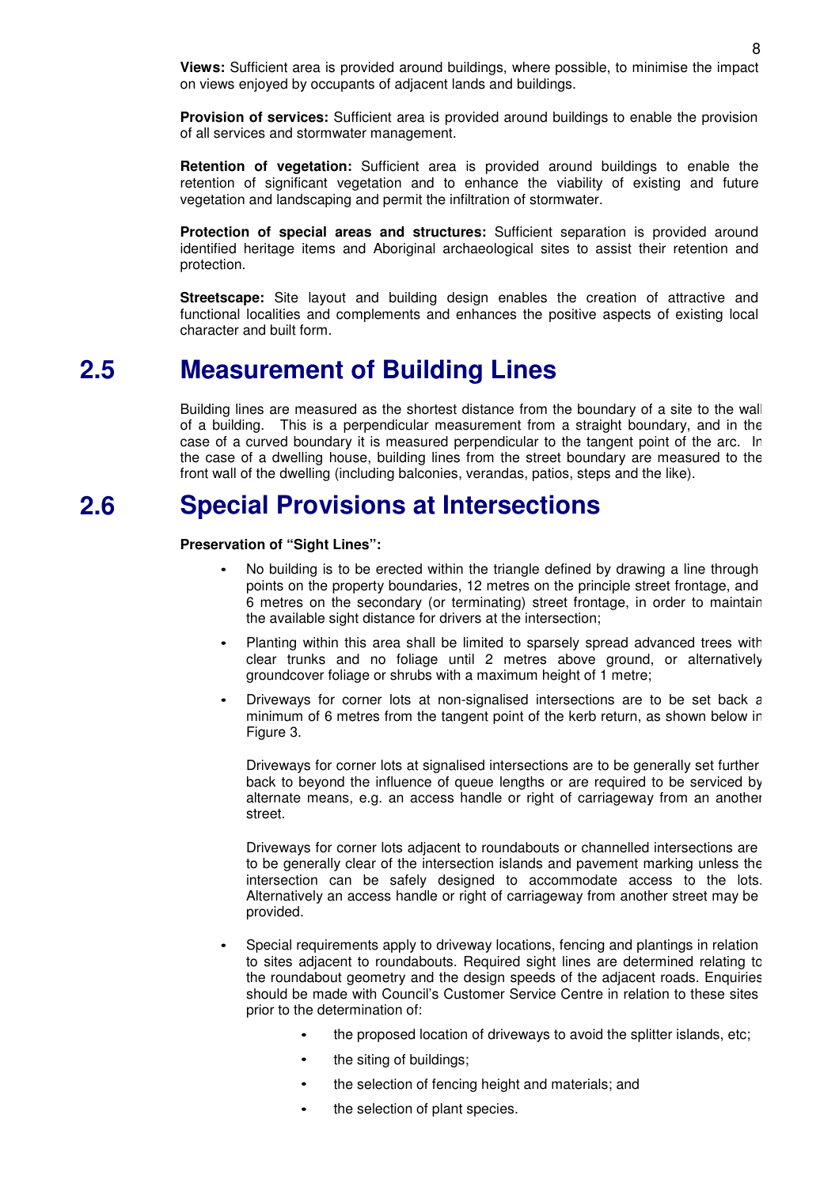**Views:** Sufficient area is provided around buildings, where possible, to minimise the impact on views enjoyed by occupants of adjacent lands and buildings.

**Provision of services:** Sufficient area is provided around buildings to enable the provision of all services and stormwater management.

**Retention of vegetation:** Sufficient area is provided around buildings to enable the retention of significant vegetation and to enhance the viability of existing and future vegetation and landscaping and permit the infiltration of stormwater.

**Protection of special areas and structures:** Sufficient separation is provided around identified heritage items and Aboriginal archaeological sites to assist their retention and protection.

**Streetscape:** Site layout and building design enables the creation of attractive and functional localities and complements and enhances the positive aspects of existing local character and built form.

### **2.5 Measurement of Building Lines**

Building lines are measured as the shortest distance from the boundary of a site to the wall of a building. This is a perpendicular measurement from a straight boundary, and in the case of a curved boundary it is measured perpendicular to the tangent point of the arc. In the case of a dwelling house, building lines from the street boundary are measured to the front wall of the dwelling (including balconies, verandas, patios, steps and the like).

#### **Special Provisions at Intersections 2.6**

#### **Preservation of "Sight Lines":**

- No building is to be erected within the triangle defined by drawing a line through points on the property boundaries, 12 metres on the principle street frontage, and 6 metres on the secondary (or terminating) street frontage, in order to maintain the available sight distance for drivers at the intersection;
- Planting within this area shall be limited to sparsely spread advanced trees with clear trunks and no foliage until 2 metres above ground, or alternatively groundcover foliage or shrubs with a maximum height of 1 metre; •
- Driveways for corner lots at non-signalised intersections are to be set back a minimum of 6 metres from the tangent point of the kerb return, as shown below in Figure 3. •

Driveways for corner lots at signalised intersections are to be generally set further back to beyond the influence of queue lengths or are required to be serviced by alternate means, e.g. an access handle or right of carriageway from an another street.

Driveways for corner lots adjacent to roundabouts or channelled intersections are to be generally clear of the intersection islands and pavement marking unless the intersection can be safely designed to accommodate access to the lots. Alternatively an access handle or right of carriageway from another street may be provided.

- Special requirements apply to driveway locations, fencing and plantings in relation to sites adjacent to roundabouts. Required sight lines are determined relating to the roundabout geometry and the design speeds of the adjacent roads. Enquiries should be made with Council's Customer Service Centre in relation to these sites prior to the determination of: •
	- the proposed location of driveways to avoid the splitter islands, etc;
	- the siting of buildings;
	- the selection of fencing height and materials; and
	- the selection of plant species.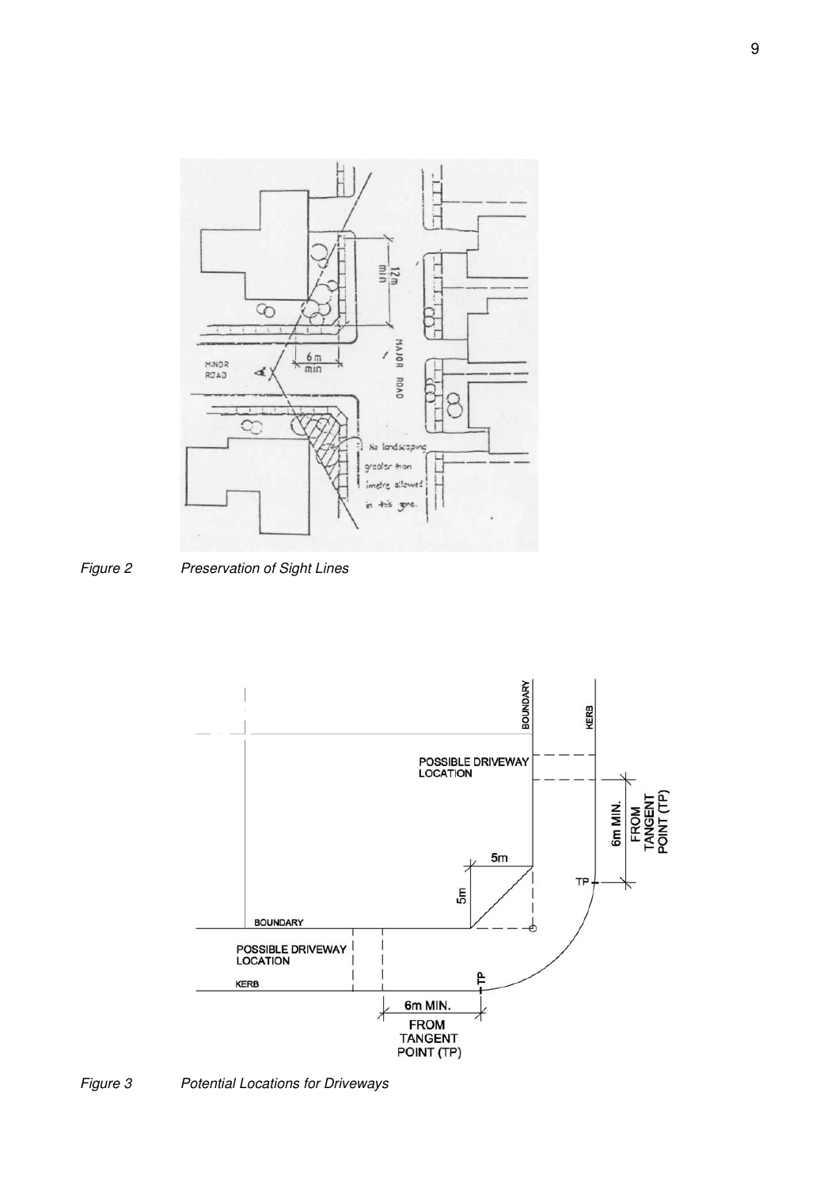

Figure 2 Preservation of Sight Lines



Figure 3 Potential Locations for Driveways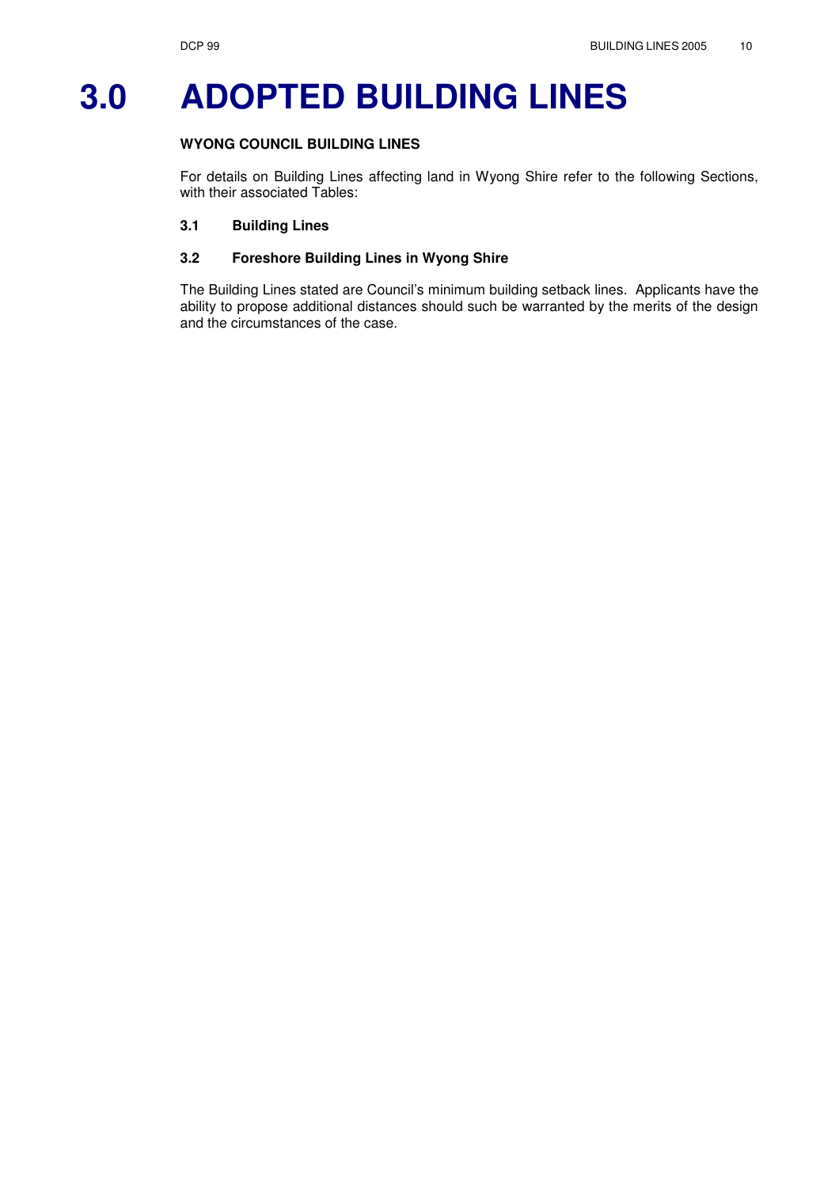## **3.0 ADOPTED BUILDING LINES**

#### **WYONG COUNCIL BUILDING LINES**

For details on Building Lines affecting land in Wyong Shire refer to the following Sections, with their associated Tables:

#### **3.1 Building Lines**

#### **3.2 Foreshore Building Lines in Wyong Shire**

The Building Lines stated are Council's minimum building setback lines. Applicants have the ability to propose additional distances should such be warranted by the merits of the design and the circumstances of the case.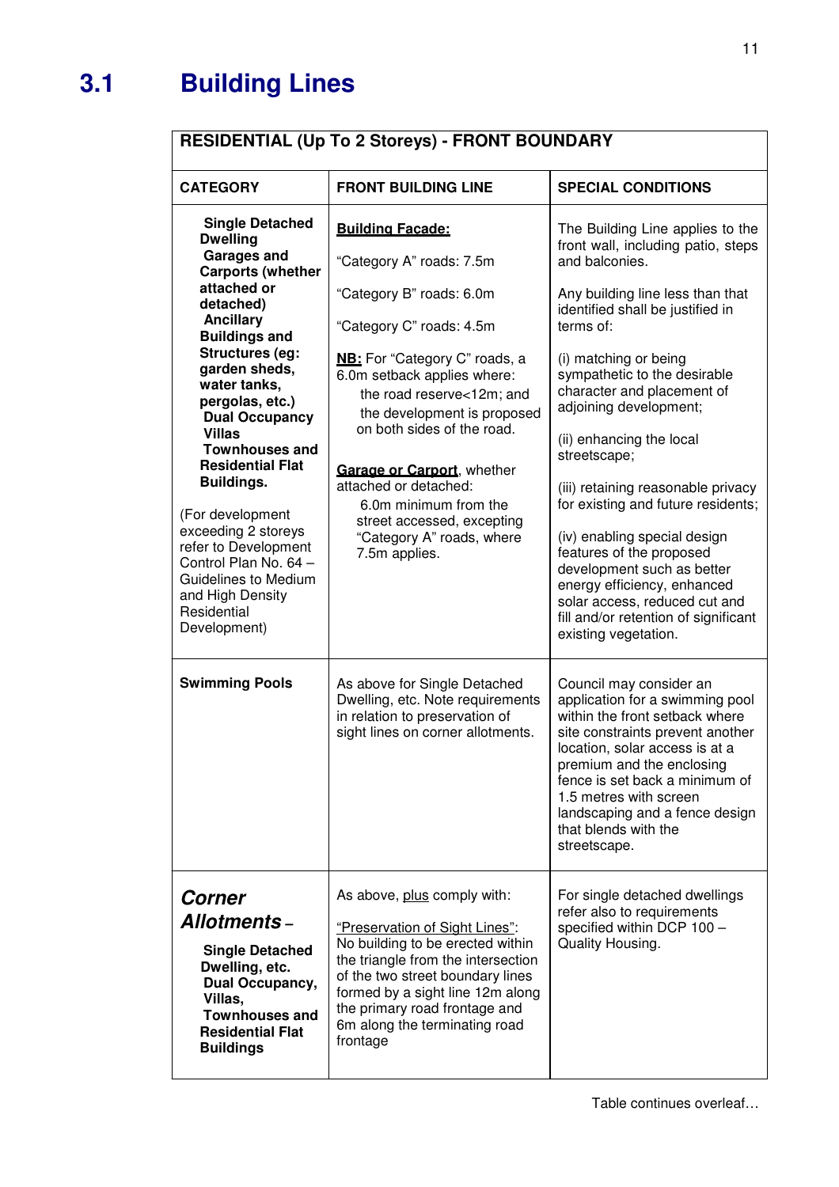### **3.1 Building Lines**

### **RESIDENTIAL (Up To 2 Storeys) - FRONT BOUNDARY**

| <b>CATEGORY</b>                                                                                                                                                                                                                                                                                                                               | <b>FRONT BUILDING LINE</b>                                                                                                                                                                                                                                                                                                | <b>SPECIAL CONDITIONS</b>                                                                                                                                                                                                                                                                                                                                                                       |
|-----------------------------------------------------------------------------------------------------------------------------------------------------------------------------------------------------------------------------------------------------------------------------------------------------------------------------------------------|---------------------------------------------------------------------------------------------------------------------------------------------------------------------------------------------------------------------------------------------------------------------------------------------------------------------------|-------------------------------------------------------------------------------------------------------------------------------------------------------------------------------------------------------------------------------------------------------------------------------------------------------------------------------------------------------------------------------------------------|
| <b>Single Detached</b>                                                                                                                                                                                                                                                                                                                        | <b>Building Facade:</b>                                                                                                                                                                                                                                                                                                   | The Building Line applies to the                                                                                                                                                                                                                                                                                                                                                                |
| <b>Dwelling</b><br><b>Garages and</b>                                                                                                                                                                                                                                                                                                         | "Category A" roads: 7.5m                                                                                                                                                                                                                                                                                                  | front wall, including patio, steps<br>and balconies.                                                                                                                                                                                                                                                                                                                                            |
| <b>Carports (whether</b><br>attached or<br>detached)                                                                                                                                                                                                                                                                                          | "Category B" roads: 6.0m                                                                                                                                                                                                                                                                                                  | Any building line less than that                                                                                                                                                                                                                                                                                                                                                                |
| <b>Ancillary</b><br><b>Buildings and</b>                                                                                                                                                                                                                                                                                                      | "Category C" roads: 4.5m                                                                                                                                                                                                                                                                                                  | identified shall be justified in<br>terms of:                                                                                                                                                                                                                                                                                                                                                   |
| <b>Structures (eg:</b><br>garden sheds,<br>water tanks,<br>pergolas, etc.)<br><b>Dual Occupancy</b><br><b>Villas</b><br><b>Townhouses and</b><br><b>Residential Flat</b><br>Buildings.<br>(For development<br>exceeding 2 storeys<br>refer to Development<br>Control Plan No. 64 -<br>Guidelines to Medium<br>and High Density<br>Residential | <b>NB:</b> For "Category C" roads, a<br>6.0m setback applies where:<br>the road reserve<12m; and<br>the development is proposed<br>on both sides of the road.<br>Garage or Carport, whether<br>attached or detached:<br>6.0m minimum from the<br>street accessed, excepting<br>"Category A" roads, where<br>7.5m applies. | (i) matching or being<br>sympathetic to the desirable<br>character and placement of<br>adjoining development;<br>(ii) enhancing the local<br>streetscape;<br>(iii) retaining reasonable privacy<br>for existing and future residents;<br>(iv) enabling special design<br>features of the proposed<br>development such as better<br>energy efficiency, enhanced<br>solar access, reduced cut and |
| Development)                                                                                                                                                                                                                                                                                                                                  |                                                                                                                                                                                                                                                                                                                           | fill and/or retention of significant<br>existing vegetation.                                                                                                                                                                                                                                                                                                                                    |
| <b>Swimming Pools</b>                                                                                                                                                                                                                                                                                                                         | As above for Single Detached<br>Dwelling, etc. Note requirements<br>in relation to preservation of<br>sight lines on corner allotments.                                                                                                                                                                                   | Council may consider an<br>application for a swimming pool<br>within the front setback where<br>site constraints prevent another<br>location, solar access is at a<br>premium and the enclosing<br>fence is set back a minimum of<br>1.5 metres with screen<br>landscaping and a fence design<br>that blends with the<br>streetscape.                                                           |
| <b>Corner</b><br><b>Allotments –</b><br><b>Single Detached</b><br>Dwelling, etc.<br>Dual Occupancy,<br>Villas,<br><b>Townhouses and</b><br><b>Residential Flat</b><br><b>Buildings</b>                                                                                                                                                        | As above, plus comply with:<br>"Preservation of Sight Lines":<br>No building to be erected within<br>the triangle from the intersection<br>of the two street boundary lines<br>formed by a sight line 12m along<br>the primary road frontage and<br>6m along the terminating road<br>frontage                             | For single detached dwellings<br>refer also to requirements<br>specified within DCP 100 -<br>Quality Housing.                                                                                                                                                                                                                                                                                   |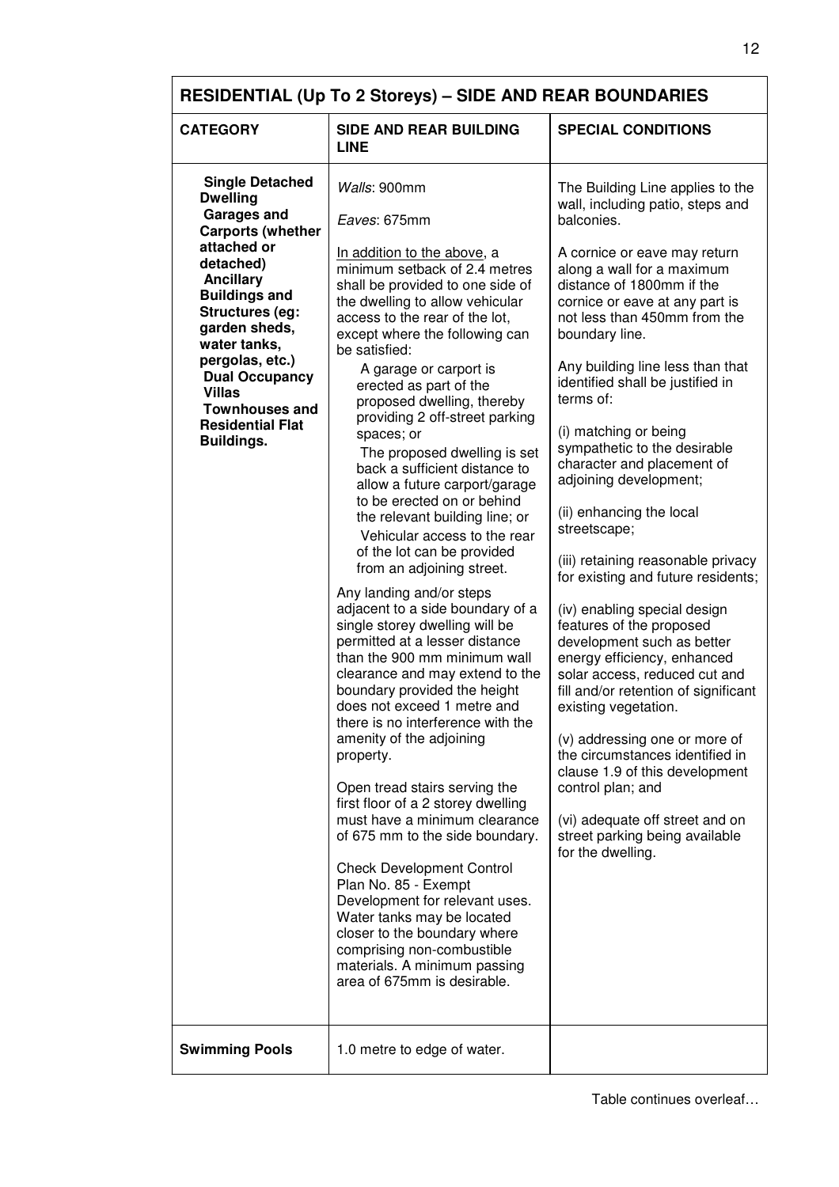| <b>RESIDENTIAL (Up To 2 Storeys) - SIDE AND REAR BOUNDARIES</b>                                                                                                                                                                                                                                                                                               |                                                                                                                                                                                                                                                                                                                                                                                                                                                                                                                                                                                                                                                                                                                                                                                                                                                                                                                                                                                                                                                                                                                                                                                                                                                                                                                                                                                                                 |                                                                                                                                                                                                                                                                                                                                                                                                                                                                                                                                                                                                                                                                                                                                                                                                                                                                                                                                                                                                                                                |  |
|---------------------------------------------------------------------------------------------------------------------------------------------------------------------------------------------------------------------------------------------------------------------------------------------------------------------------------------------------------------|-----------------------------------------------------------------------------------------------------------------------------------------------------------------------------------------------------------------------------------------------------------------------------------------------------------------------------------------------------------------------------------------------------------------------------------------------------------------------------------------------------------------------------------------------------------------------------------------------------------------------------------------------------------------------------------------------------------------------------------------------------------------------------------------------------------------------------------------------------------------------------------------------------------------------------------------------------------------------------------------------------------------------------------------------------------------------------------------------------------------------------------------------------------------------------------------------------------------------------------------------------------------------------------------------------------------------------------------------------------------------------------------------------------------|------------------------------------------------------------------------------------------------------------------------------------------------------------------------------------------------------------------------------------------------------------------------------------------------------------------------------------------------------------------------------------------------------------------------------------------------------------------------------------------------------------------------------------------------------------------------------------------------------------------------------------------------------------------------------------------------------------------------------------------------------------------------------------------------------------------------------------------------------------------------------------------------------------------------------------------------------------------------------------------------------------------------------------------------|--|
| <b>CATEGORY</b>                                                                                                                                                                                                                                                                                                                                               | <b>SIDE AND REAR BUILDING</b><br><b>LINE</b>                                                                                                                                                                                                                                                                                                                                                                                                                                                                                                                                                                                                                                                                                                                                                                                                                                                                                                                                                                                                                                                                                                                                                                                                                                                                                                                                                                    | <b>SPECIAL CONDITIONS</b>                                                                                                                                                                                                                                                                                                                                                                                                                                                                                                                                                                                                                                                                                                                                                                                                                                                                                                                                                                                                                      |  |
| <b>Single Detached</b><br><b>Dwelling</b><br><b>Garages and</b><br><b>Carports (whether</b><br>attached or<br>detached)<br><b>Ancillary</b><br><b>Buildings and</b><br>Structures (eg:<br>garden sheds,<br>water tanks,<br>pergolas, etc.)<br><b>Dual Occupancy</b><br><b>Villas</b><br><b>Townhouses and</b><br><b>Residential Flat</b><br><b>Buildings.</b> | Walls: 900mm<br>Eaves: 675mm<br>In addition to the above, a<br>minimum setback of 2.4 metres<br>shall be provided to one side of<br>the dwelling to allow vehicular<br>access to the rear of the lot,<br>except where the following can<br>be satisfied:<br>A garage or carport is<br>erected as part of the<br>proposed dwelling, thereby<br>providing 2 off-street parking<br>spaces; or<br>The proposed dwelling is set<br>back a sufficient distance to<br>allow a future carport/garage<br>to be erected on or behind<br>the relevant building line; or<br>Vehicular access to the rear<br>of the lot can be provided<br>from an adjoining street.<br>Any landing and/or steps<br>adjacent to a side boundary of a<br>single storey dwelling will be<br>permitted at a lesser distance<br>than the 900 mm minimum wall<br>clearance and may extend to the<br>boundary provided the height<br>does not exceed 1 metre and<br>there is no interference with the<br>amenity of the adjoining<br>property.<br>Open tread stairs serving the<br>first floor of a 2 storey dwelling<br>must have a minimum clearance<br>of 675 mm to the side boundary.<br><b>Check Development Control</b><br>Plan No. 85 - Exempt<br>Development for relevant uses.<br>Water tanks may be located<br>closer to the boundary where<br>comprising non-combustible<br>materials. A minimum passing<br>area of 675mm is desirable. | The Building Line applies to the<br>wall, including patio, steps and<br>balconies.<br>A cornice or eave may return<br>along a wall for a maximum<br>distance of 1800mm if the<br>cornice or eave at any part is<br>not less than 450mm from the<br>boundary line.<br>Any building line less than that<br>identified shall be justified in<br>terms of:<br>(i) matching or being<br>sympathetic to the desirable<br>character and placement of<br>adjoining development;<br>(ii) enhancing the local<br>streetscape;<br>(iii) retaining reasonable privacy<br>for existing and future residents;<br>(iv) enabling special design<br>features of the proposed<br>development such as better<br>energy efficiency, enhanced<br>solar access, reduced cut and<br>fill and/or retention of significant<br>existing vegetation.<br>(v) addressing one or more of<br>the circumstances identified in<br>clause 1.9 of this development<br>control plan; and<br>(vi) adequate off street and on<br>street parking being available<br>for the dwelling. |  |
| <b>Swimming Pools</b>                                                                                                                                                                                                                                                                                                                                         | 1.0 metre to edge of water.                                                                                                                                                                                                                                                                                                                                                                                                                                                                                                                                                                                                                                                                                                                                                                                                                                                                                                                                                                                                                                                                                                                                                                                                                                                                                                                                                                                     |                                                                                                                                                                                                                                                                                                                                                                                                                                                                                                                                                                                                                                                                                                                                                                                                                                                                                                                                                                                                                                                |  |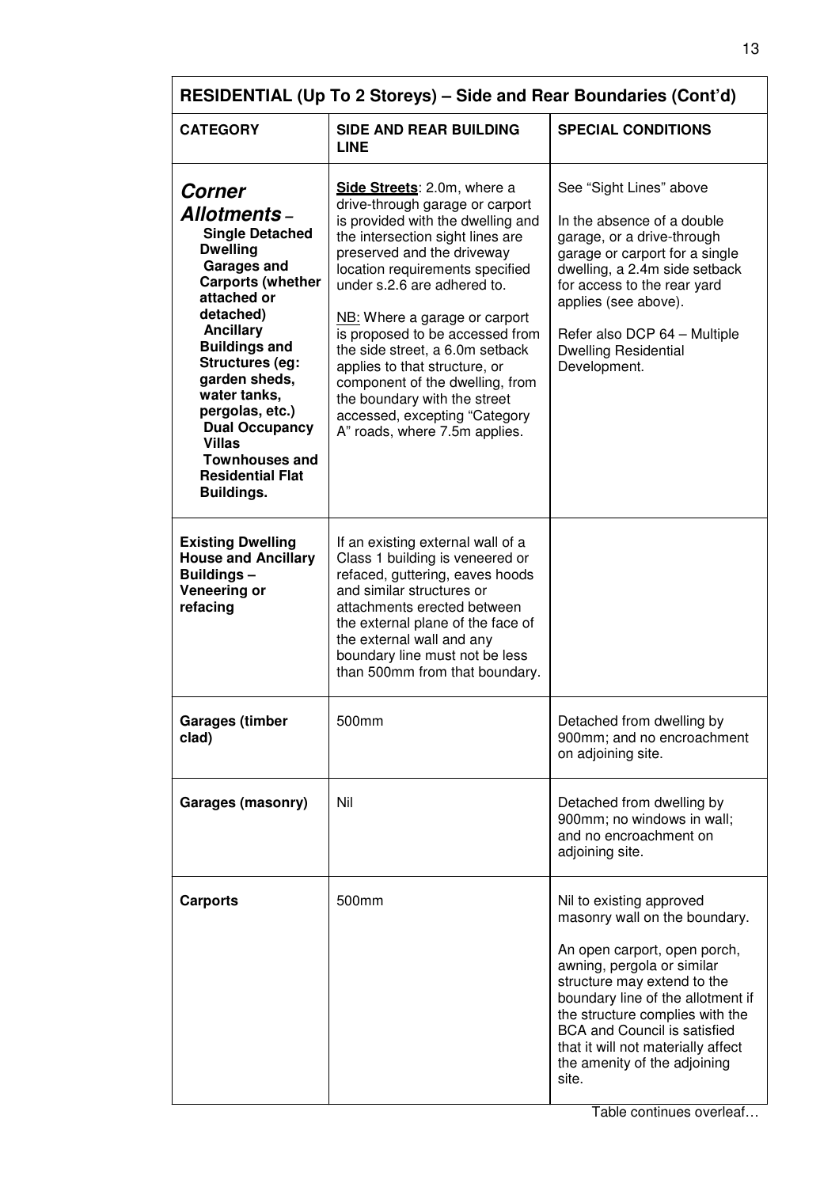| RESIDENTIAL (Up To 2 Storeys) – Side and Rear Boundaries (Cont'd)                                                                                                                                                                                                                                                                                                                                     |                                                                                                                                                                                                                                                                                                                                                                                                                                                                                                                      |                                                                                                                                                                                                                                                                                                                                                      |  |
|-------------------------------------------------------------------------------------------------------------------------------------------------------------------------------------------------------------------------------------------------------------------------------------------------------------------------------------------------------------------------------------------------------|----------------------------------------------------------------------------------------------------------------------------------------------------------------------------------------------------------------------------------------------------------------------------------------------------------------------------------------------------------------------------------------------------------------------------------------------------------------------------------------------------------------------|------------------------------------------------------------------------------------------------------------------------------------------------------------------------------------------------------------------------------------------------------------------------------------------------------------------------------------------------------|--|
| <b>CATEGORY</b>                                                                                                                                                                                                                                                                                                                                                                                       | <b>SIDE AND REAR BUILDING</b><br><b>LINE</b>                                                                                                                                                                                                                                                                                                                                                                                                                                                                         | <b>SPECIAL CONDITIONS</b>                                                                                                                                                                                                                                                                                                                            |  |
| <b>Corner</b><br><b>Allotments –</b><br><b>Single Detached</b><br><b>Dwelling</b><br><b>Garages and</b><br><b>Carports (whether</b><br>attached or<br>detached)<br><b>Ancillary</b><br><b>Buildings and</b><br><b>Structures (eg:</b><br>garden sheds,<br>water tanks,<br>pergolas, etc.)<br><b>Dual Occupancy</b><br><b>Villas</b><br><b>Townhouses and</b><br><b>Residential Flat</b><br>Buildings. | Side Streets: 2.0m, where a<br>drive-through garage or carport<br>is provided with the dwelling and<br>the intersection sight lines are<br>preserved and the driveway<br>location requirements specified<br>under s.2.6 are adhered to.<br>NB: Where a garage or carport<br>is proposed to be accessed from<br>the side street, a 6.0m setback<br>applies to that structure, or<br>component of the dwelling, from<br>the boundary with the street<br>accessed, excepting "Category<br>A" roads, where 7.5m applies. | See "Sight Lines" above<br>In the absence of a double<br>garage, or a drive-through<br>garage or carport for a single<br>dwelling, a 2.4m side setback<br>for access to the rear yard<br>applies (see above).<br>Refer also DCP 64 - Multiple<br><b>Dwelling Residential</b><br>Development.                                                         |  |
| <b>Existing Dwelling</b><br><b>House and Ancillary</b><br>Buildings-<br>Veneering or<br>refacing                                                                                                                                                                                                                                                                                                      | If an existing external wall of a<br>Class 1 building is veneered or<br>refaced, guttering, eaves hoods<br>and similar structures or<br>attachments erected between<br>the external plane of the face of<br>the external wall and any<br>boundary line must not be less<br>than 500mm from that boundary.                                                                                                                                                                                                            |                                                                                                                                                                                                                                                                                                                                                      |  |
| <b>Garages (timber</b><br>clad)                                                                                                                                                                                                                                                                                                                                                                       | 500mm                                                                                                                                                                                                                                                                                                                                                                                                                                                                                                                | Detached from dwelling by<br>900mm; and no encroachment<br>on adjoining site.                                                                                                                                                                                                                                                                        |  |
| Garages (masonry)                                                                                                                                                                                                                                                                                                                                                                                     | Nil                                                                                                                                                                                                                                                                                                                                                                                                                                                                                                                  | Detached from dwelling by<br>900mm; no windows in wall;<br>and no encroachment on<br>adjoining site.                                                                                                                                                                                                                                                 |  |
| <b>Carports</b>                                                                                                                                                                                                                                                                                                                                                                                       | 500mm                                                                                                                                                                                                                                                                                                                                                                                                                                                                                                                | Nil to existing approved<br>masonry wall on the boundary.<br>An open carport, open porch,<br>awning, pergola or similar<br>structure may extend to the<br>boundary line of the allotment if<br>the structure complies with the<br><b>BCA and Council is satisfied</b><br>that it will not materially affect<br>the amenity of the adjoining<br>site. |  |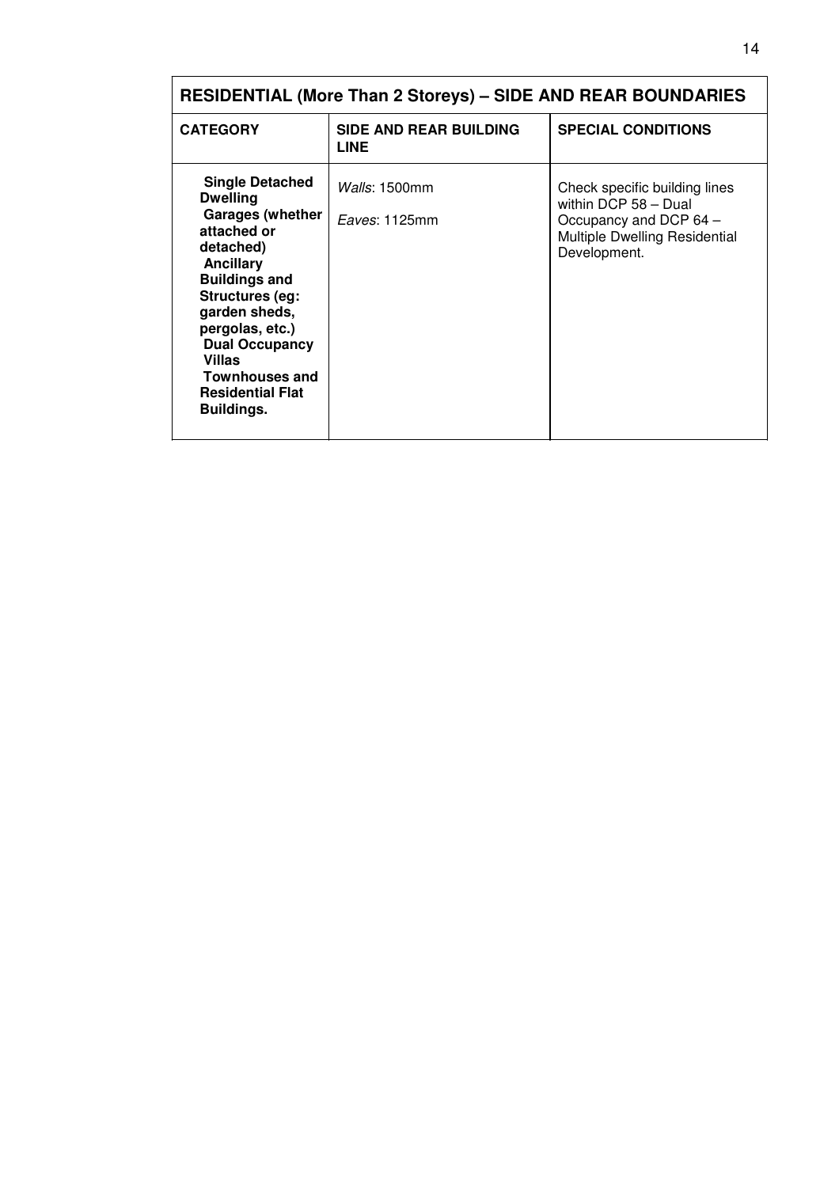| <b>RESIDENTIAL (More Than 2 Storeys) - SIDE AND REAR BOUNDARIES</b>                                                                                                                                                                                                                                             |                                              |                                                                                                                                  |
|-----------------------------------------------------------------------------------------------------------------------------------------------------------------------------------------------------------------------------------------------------------------------------------------------------------------|----------------------------------------------|----------------------------------------------------------------------------------------------------------------------------------|
| <b>CATEGORY</b>                                                                                                                                                                                                                                                                                                 | <b>SIDE AND REAR BUILDING</b><br><b>LINE</b> | <b>SPECIAL CONDITIONS</b>                                                                                                        |
| <b>Single Detached</b><br><b>Dwelling</b><br><b>Garages (whether</b><br>attached or<br>detached)<br><b>Ancillary</b><br><b>Buildings and</b><br><b>Structures (eg:</b><br>garden sheds,<br>pergolas, etc.)<br><b>Dual Occupancy</b><br>Villas<br><b>Townhouses and</b><br><b>Residential Flat</b><br>Buildings. | <i>Walls</i> : 1500mm<br>Eaves: 1125mm       | Check specific building lines<br>within DCP 58 - Dual<br>Occupancy and DCP 64 -<br>Multiple Dwelling Residential<br>Development. |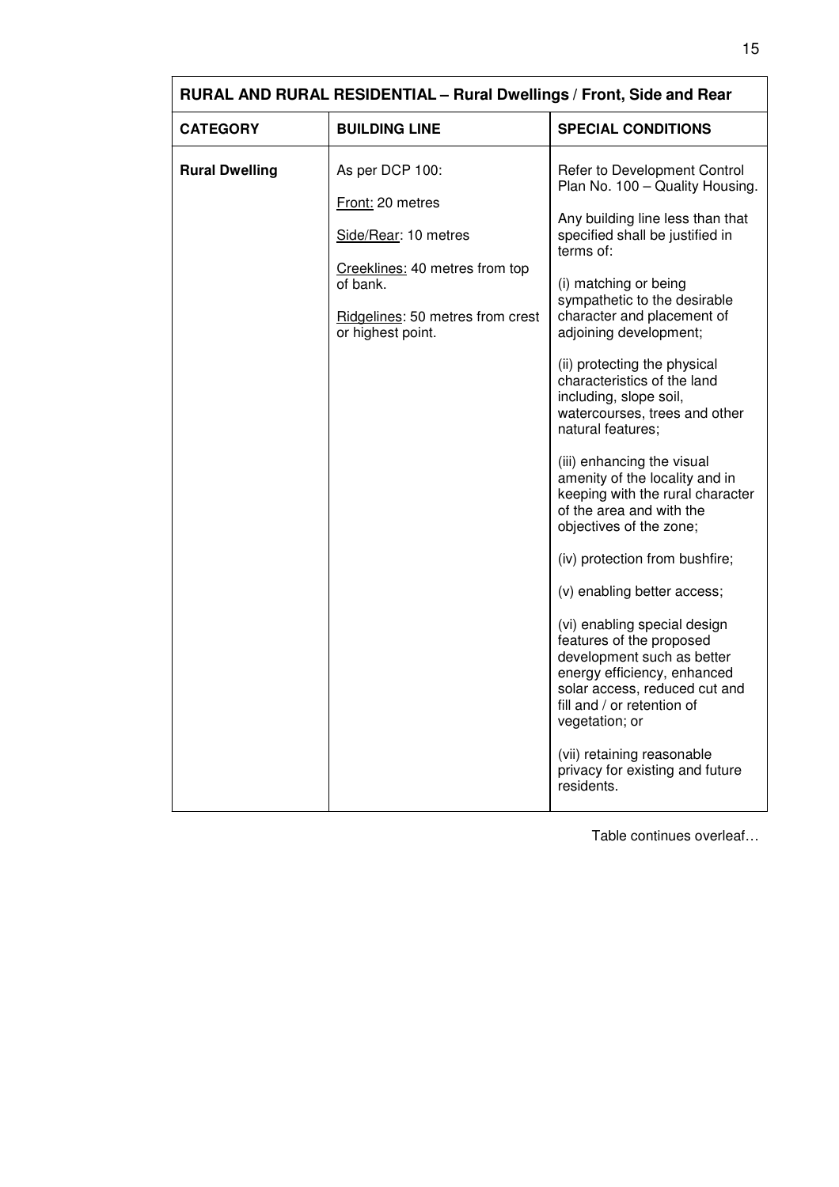| RURAL AND RURAL RESIDENTIAL - Rural Dwellings / Front, Side and Rear |                                                                                                     |                                                                                                                                                                                                        |
|----------------------------------------------------------------------|-----------------------------------------------------------------------------------------------------|--------------------------------------------------------------------------------------------------------------------------------------------------------------------------------------------------------|
| <b>CATEGORY</b>                                                      | <b>BUILDING LINE</b>                                                                                | <b>SPECIAL CONDITIONS</b>                                                                                                                                                                              |
| <b>Rural Dwelling</b>                                                | As per DCP 100:                                                                                     | Refer to Development Control<br>Plan No. 100 - Quality Housing.                                                                                                                                        |
|                                                                      | Front: 20 metres<br>Side/Rear: 10 metres                                                            | Any building line less than that<br>specified shall be justified in<br>terms of:                                                                                                                       |
|                                                                      | Creeklines: 40 metres from top<br>of bank.<br>Ridgelines: 50 metres from crest<br>or highest point. | (i) matching or being<br>sympathetic to the desirable<br>character and placement of<br>adjoining development;                                                                                          |
|                                                                      |                                                                                                     | (ii) protecting the physical<br>characteristics of the land<br>including, slope soil,<br>watercourses, trees and other<br>natural features;                                                            |
|                                                                      |                                                                                                     | (iii) enhancing the visual<br>amenity of the locality and in<br>keeping with the rural character<br>of the area and with the<br>objectives of the zone;                                                |
|                                                                      |                                                                                                     | (iv) protection from bushfire;                                                                                                                                                                         |
|                                                                      |                                                                                                     | (v) enabling better access;                                                                                                                                                                            |
|                                                                      |                                                                                                     | (vi) enabling special design<br>features of the proposed<br>development such as better<br>energy efficiency, enhanced<br>solar access, reduced cut and<br>fill and / or retention of<br>vegetation; or |
|                                                                      |                                                                                                     | (vii) retaining reasonable<br>privacy for existing and future<br>residents.                                                                                                                            |

 $\overline{1}$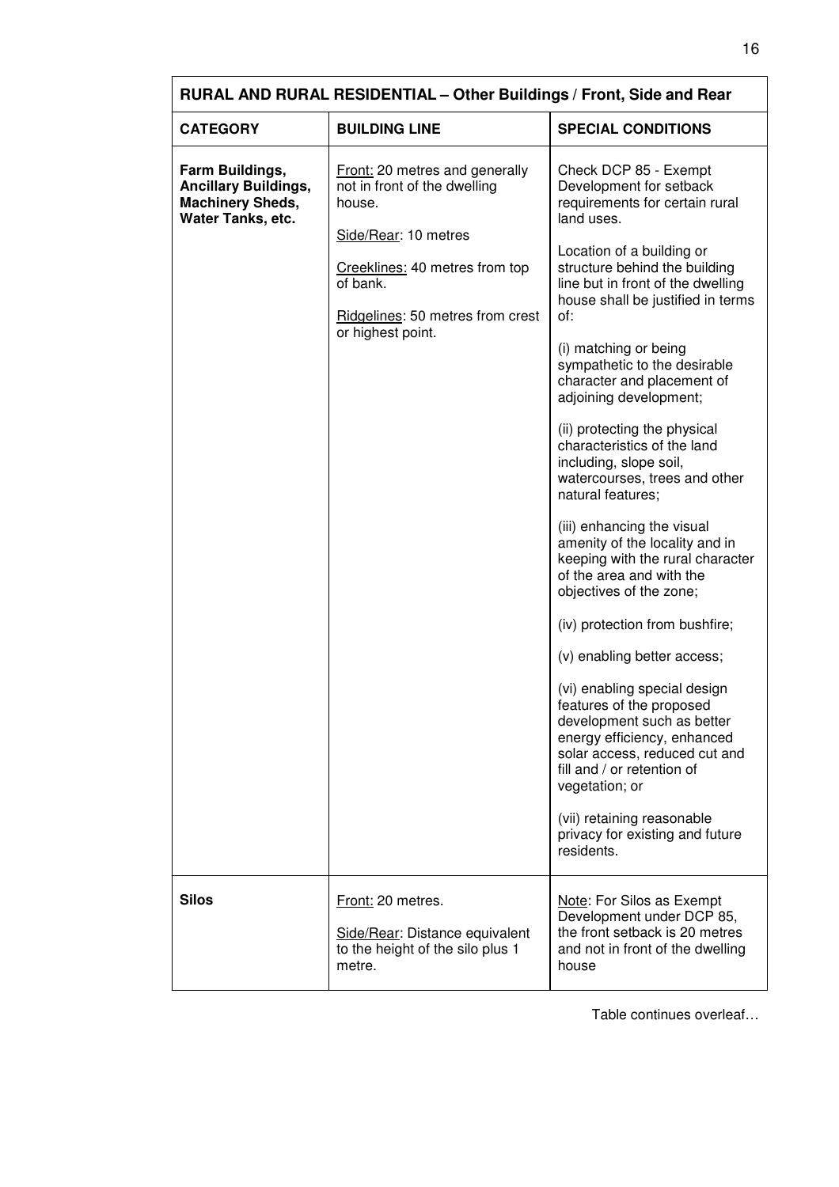| RURAL AND RURAL RESIDENTIAL - Other Buildings / Front, Side and Rear                           |                                                                                                                                                                                                                |                                                                                                                                                                                                                                                                                                                                                                                                                                                                                                                                                                                                                                                                                                                                                                                                                                                                                                                                                                                                                                      |  |
|------------------------------------------------------------------------------------------------|----------------------------------------------------------------------------------------------------------------------------------------------------------------------------------------------------------------|--------------------------------------------------------------------------------------------------------------------------------------------------------------------------------------------------------------------------------------------------------------------------------------------------------------------------------------------------------------------------------------------------------------------------------------------------------------------------------------------------------------------------------------------------------------------------------------------------------------------------------------------------------------------------------------------------------------------------------------------------------------------------------------------------------------------------------------------------------------------------------------------------------------------------------------------------------------------------------------------------------------------------------------|--|
| <b>CATEGORY</b>                                                                                | <b>BUILDING LINE</b>                                                                                                                                                                                           | <b>SPECIAL CONDITIONS</b>                                                                                                                                                                                                                                                                                                                                                                                                                                                                                                                                                                                                                                                                                                                                                                                                                                                                                                                                                                                                            |  |
| Farm Buildings,<br><b>Ancillary Buildings,</b><br><b>Machinery Sheds,</b><br>Water Tanks, etc. | <b>Front:</b> 20 metres and generally<br>not in front of the dwelling<br>house.<br>Side/Rear: 10 metres<br>Creeklines: 40 metres from top<br>of bank.<br>Ridgelines: 50 metres from crest<br>or highest point. | Check DCP 85 - Exempt<br>Development for setback<br>requirements for certain rural<br>land uses.<br>Location of a building or<br>structure behind the building<br>line but in front of the dwelling<br>house shall be justified in terms<br>of:<br>(i) matching or being<br>sympathetic to the desirable<br>character and placement of<br>adjoining development;<br>(ii) protecting the physical<br>characteristics of the land<br>including, slope soil,<br>watercourses, trees and other<br>natural features;<br>(iii) enhancing the visual<br>amenity of the locality and in<br>keeping with the rural character<br>of the area and with the<br>objectives of the zone;<br>(iv) protection from bushfire;<br>(v) enabling better access;<br>(vi) enabling special design<br>features of the proposed<br>development such as better<br>energy efficiency, enhanced<br>solar access, reduced cut and<br>fill and / or retention of<br>vegetation; or<br>(vii) retaining reasonable<br>privacy for existing and future<br>residents. |  |
| <b>Silos</b>                                                                                   | Front: 20 metres.<br>Side/Rear: Distance equivalent<br>to the height of the silo plus 1<br>metre.                                                                                                              | Note: For Silos as Exempt<br>Development under DCP 85,<br>the front setback is 20 metres<br>and not in front of the dwelling<br>house                                                                                                                                                                                                                                                                                                                                                                                                                                                                                                                                                                                                                                                                                                                                                                                                                                                                                                |  |

 $\overline{1}$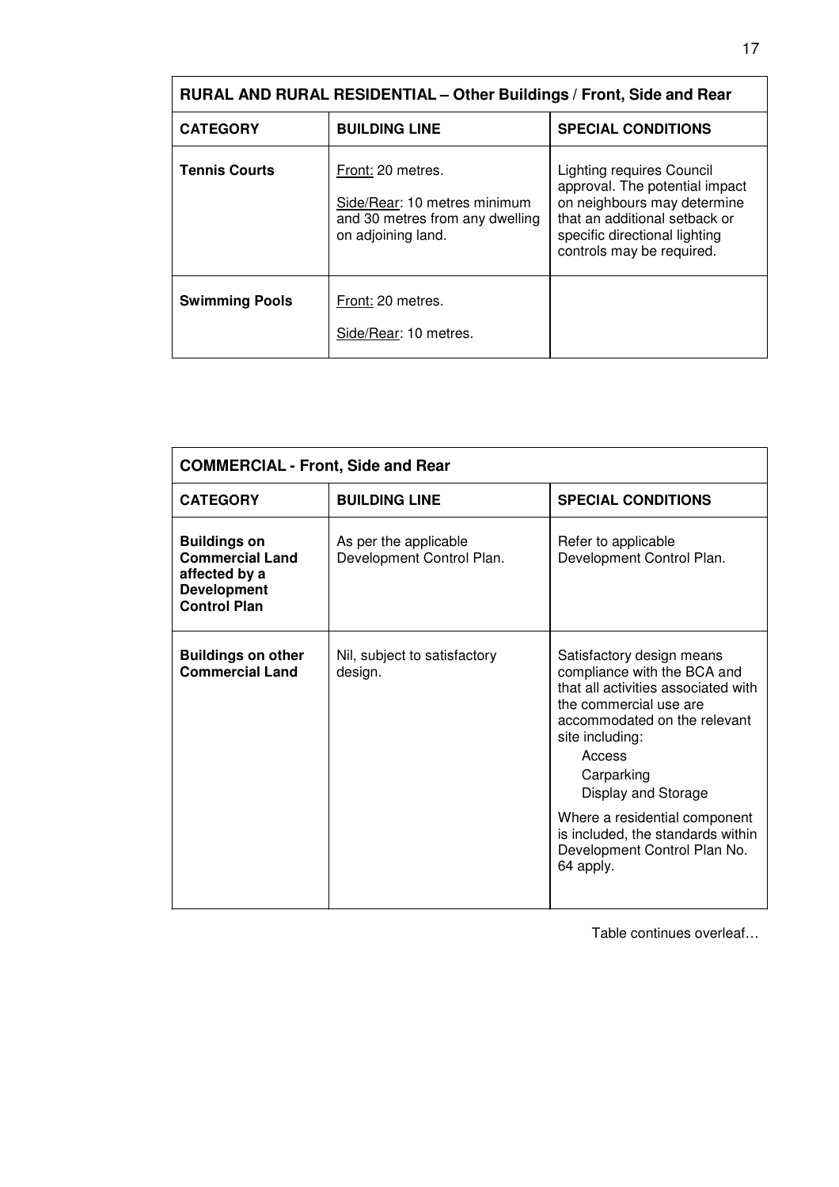| RURAL AND RURAL RESIDENTIAL - Other Buildings / Front, Side and Rear |                                                                                                            |                                                                                                                                                                                                  |
|----------------------------------------------------------------------|------------------------------------------------------------------------------------------------------------|--------------------------------------------------------------------------------------------------------------------------------------------------------------------------------------------------|
| <b>CATEGORY</b>                                                      | <b>BUILDING LINE</b>                                                                                       | <b>SPECIAL CONDITIONS</b>                                                                                                                                                                        |
| <b>Tennis Courts</b>                                                 | Front: 20 metres.<br>Side/Rear: 10 metres minimum<br>and 30 metres from any dwelling<br>on adjoining land. | <b>Lighting requires Council</b><br>approval. The potential impact<br>on neighbours may determine<br>that an additional setback or<br>specific directional lighting<br>controls may be required. |
| <b>Swimming Pools</b>                                                | Front: 20 metres.<br>Side/Rear: 10 metres.                                                                 |                                                                                                                                                                                                  |

| <b>COMMERCIAL - Front, Side and Rear</b>                                                                    |                                                    |                                                                                                                                                                                                                                                                                                                                                |
|-------------------------------------------------------------------------------------------------------------|----------------------------------------------------|------------------------------------------------------------------------------------------------------------------------------------------------------------------------------------------------------------------------------------------------------------------------------------------------------------------------------------------------|
| <b>CATEGORY</b>                                                                                             | <b>BUILDING LINE</b>                               | <b>SPECIAL CONDITIONS</b>                                                                                                                                                                                                                                                                                                                      |
| <b>Buildings on</b><br><b>Commercial Land</b><br>affected by a<br><b>Development</b><br><b>Control Plan</b> | As per the applicable<br>Development Control Plan. | Refer to applicable<br>Development Control Plan.                                                                                                                                                                                                                                                                                               |
| <b>Buildings on other</b><br><b>Commercial Land</b>                                                         | Nil, subject to satisfactory<br>design.            | Satisfactory design means<br>compliance with the BCA and<br>that all activities associated with<br>the commercial use are<br>accommodated on the relevant<br>site including:<br>Access<br>Carparking<br>Display and Storage<br>Where a residential component<br>is included, the standards within<br>Development Control Plan No.<br>64 apply. |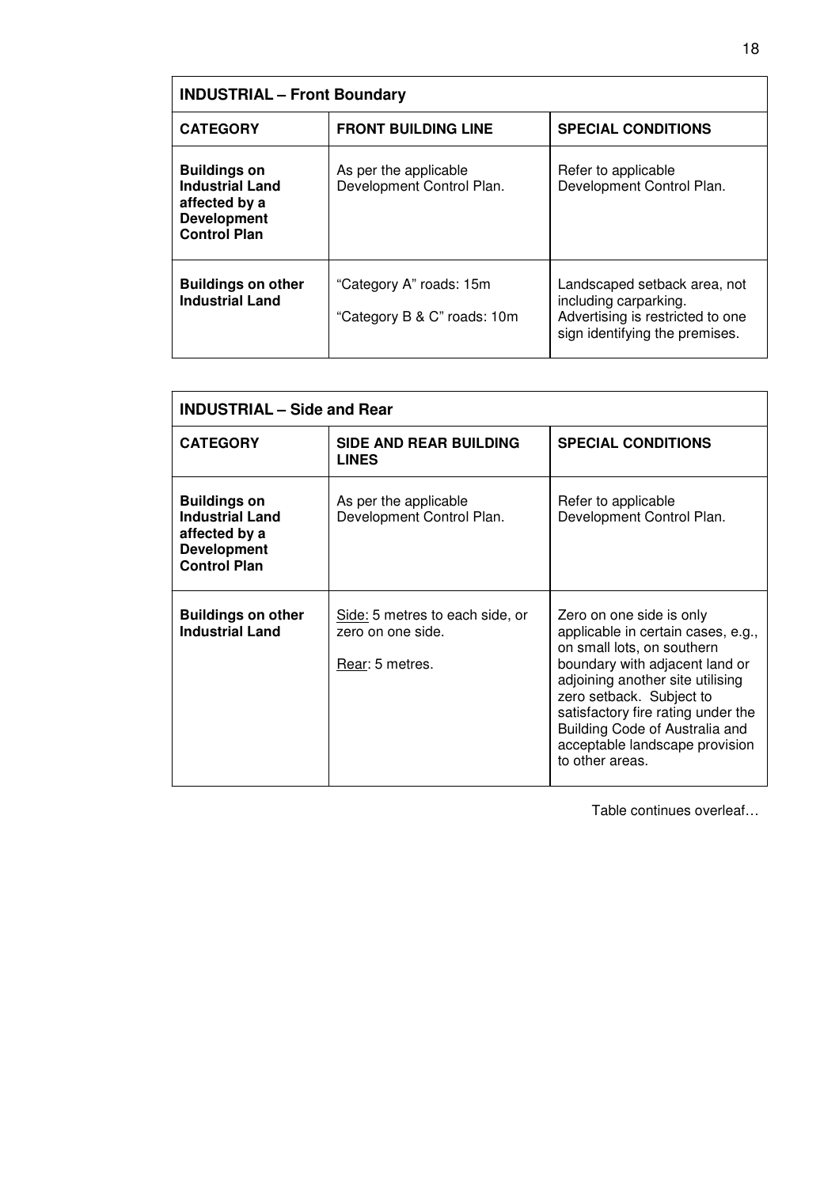| <b>INDUSTRIAL - Front Boundary</b>                                                                          |                                                        |                                                                                                                             |  |
|-------------------------------------------------------------------------------------------------------------|--------------------------------------------------------|-----------------------------------------------------------------------------------------------------------------------------|--|
| <b>CATEGORY</b>                                                                                             | <b>FRONT BUILDING LINE</b>                             | <b>SPECIAL CONDITIONS</b>                                                                                                   |  |
| <b>Buildings on</b><br><b>Industrial Land</b><br>affected by a<br><b>Development</b><br><b>Control Plan</b> | As per the applicable<br>Development Control Plan.     | Refer to applicable<br>Development Control Plan.                                                                            |  |
| <b>Buildings on other</b><br><b>Industrial Land</b>                                                         | "Category A" roads: 15m<br>"Category B & C" roads: 10m | Landscaped setback area, not<br>including carparking.<br>Advertising is restricted to one<br>sign identifying the premises. |  |

| <b>INDUSTRIAL - Side and Rear</b>                                                                           |                                                                         |                                                                                                                                                                                                                                                                                                                             |
|-------------------------------------------------------------------------------------------------------------|-------------------------------------------------------------------------|-----------------------------------------------------------------------------------------------------------------------------------------------------------------------------------------------------------------------------------------------------------------------------------------------------------------------------|
| <b>CATEGORY</b>                                                                                             | <b>SIDE AND REAR BUILDING</b><br><b>LINES</b>                           | <b>SPECIAL CONDITIONS</b>                                                                                                                                                                                                                                                                                                   |
| <b>Buildings on</b><br><b>Industrial Land</b><br>affected by a<br><b>Development</b><br><b>Control Plan</b> | As per the applicable<br>Development Control Plan.                      | Refer to applicable<br>Development Control Plan.                                                                                                                                                                                                                                                                            |
| <b>Buildings on other</b><br><b>Industrial Land</b>                                                         | Side: 5 metres to each side, or<br>zero on one side.<br>Rear: 5 metres. | Zero on one side is only<br>applicable in certain cases, e.g.,<br>on small lots, on southern<br>boundary with adjacent land or<br>adjoining another site utilising<br>zero setback. Subject to<br>satisfactory fire rating under the<br>Building Code of Australia and<br>acceptable landscape provision<br>to other areas. |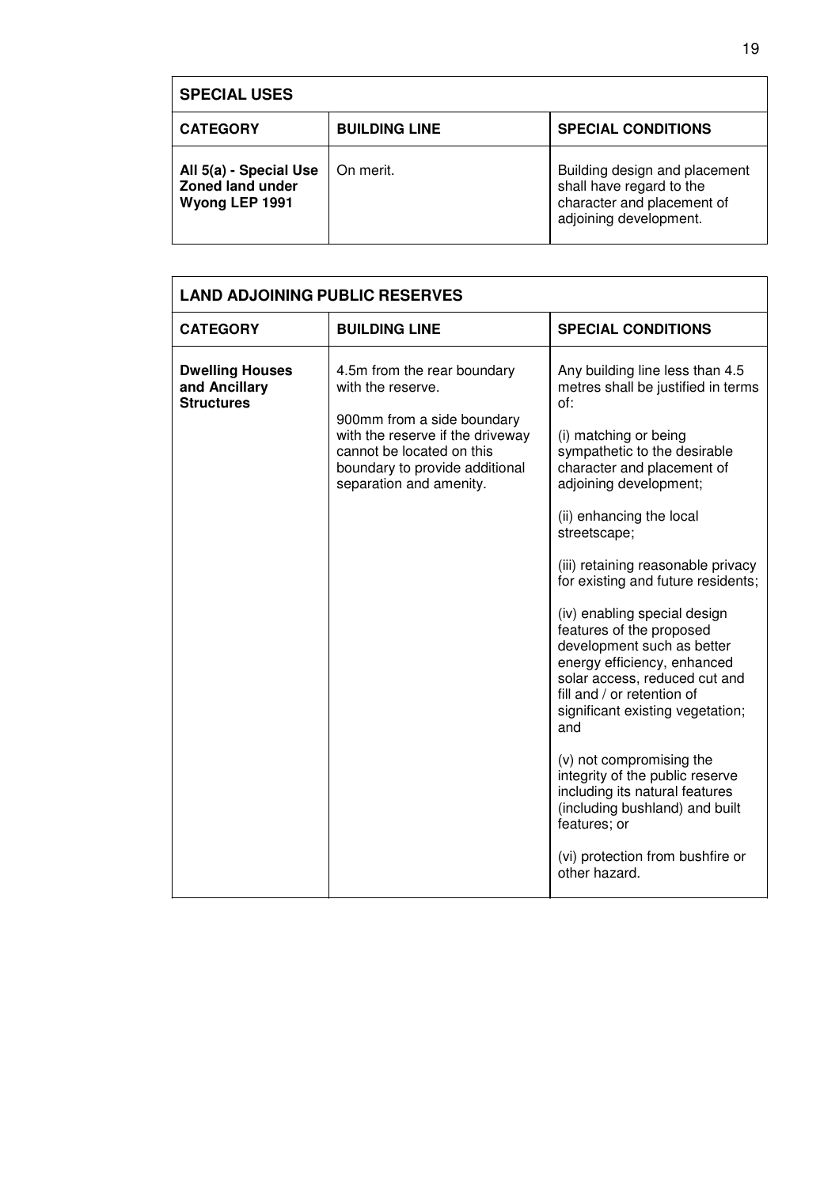| <b>SPECIAL USES</b>                                                 |                      |                                                                                                                   |  |  |
|---------------------------------------------------------------------|----------------------|-------------------------------------------------------------------------------------------------------------------|--|--|
| <b>CATEGORY</b>                                                     | <b>BUILDING LINE</b> | <b>SPECIAL CONDITIONS</b>                                                                                         |  |  |
| All 5(a) - Special Use<br><b>Zoned land under</b><br>Wyong LEP 1991 | On merit.            | Building design and placement<br>shall have regard to the<br>character and placement of<br>adjoining development. |  |  |

| <b>LAND ADJOINING PUBLIC RESERVES</b>                        |                                                                                                                                                                                                              |                                                                                                                                                                                                                                                                                                                                                                                                                                                                                                                                                                                                                                                                                                                                                                  |  |  |
|--------------------------------------------------------------|--------------------------------------------------------------------------------------------------------------------------------------------------------------------------------------------------------------|------------------------------------------------------------------------------------------------------------------------------------------------------------------------------------------------------------------------------------------------------------------------------------------------------------------------------------------------------------------------------------------------------------------------------------------------------------------------------------------------------------------------------------------------------------------------------------------------------------------------------------------------------------------------------------------------------------------------------------------------------------------|--|--|
| <b>CATEGORY</b>                                              | <b>BUILDING LINE</b>                                                                                                                                                                                         | <b>SPECIAL CONDITIONS</b>                                                                                                                                                                                                                                                                                                                                                                                                                                                                                                                                                                                                                                                                                                                                        |  |  |
| <b>Dwelling Houses</b><br>and Ancillary<br><b>Structures</b> | 4.5m from the rear boundary<br>with the reserve.<br>900mm from a side boundary<br>with the reserve if the driveway<br>cannot be located on this<br>boundary to provide additional<br>separation and amenity. | Any building line less than 4.5<br>metres shall be justified in terms<br>of:<br>(i) matching or being<br>sympathetic to the desirable<br>character and placement of<br>adjoining development;<br>(ii) enhancing the local<br>streetscape;<br>(iii) retaining reasonable privacy<br>for existing and future residents;<br>(iv) enabling special design<br>features of the proposed<br>development such as better<br>energy efficiency, enhanced<br>solar access, reduced cut and<br>fill and / or retention of<br>significant existing vegetation;<br>and<br>(v) not compromising the<br>integrity of the public reserve<br>including its natural features<br>(including bushland) and built<br>features; or<br>(vi) protection from bushfire or<br>other hazard. |  |  |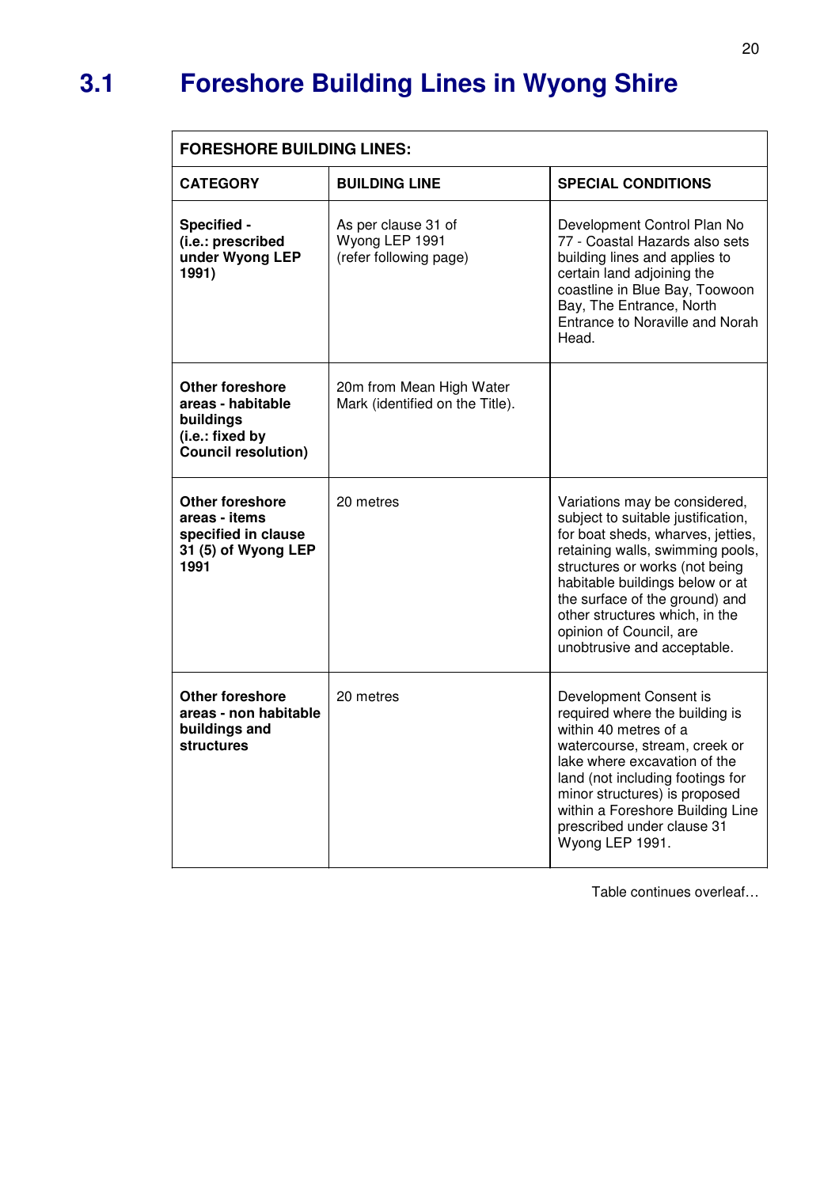### **3.1 Foreshore Building Lines in Wyong Shire**

| <b>FORESHORE BUILDING LINES:</b>                                                                   |                                                                 |                                                                                                                                                                                                                                                                                                                                                 |  |  |
|----------------------------------------------------------------------------------------------------|-----------------------------------------------------------------|-------------------------------------------------------------------------------------------------------------------------------------------------------------------------------------------------------------------------------------------------------------------------------------------------------------------------------------------------|--|--|
| <b>CATEGORY</b>                                                                                    | <b>BUILDING LINE</b>                                            | <b>SPECIAL CONDITIONS</b>                                                                                                                                                                                                                                                                                                                       |  |  |
| Specified -<br>(i.e.: prescribed<br>under Wyong LEP<br>1991)                                       | As per clause 31 of<br>Wyong LEP 1991<br>(refer following page) | Development Control Plan No<br>77 - Coastal Hazards also sets<br>building lines and applies to<br>certain land adjoining the<br>coastline in Blue Bay, Toowoon<br>Bay, The Entrance, North<br>Entrance to Noraville and Norah<br>Head.                                                                                                          |  |  |
| Other foreshore<br>areas - habitable<br>buildings<br>(i.e.: fixed by<br><b>Council resolution)</b> | 20m from Mean High Water<br>Mark (identified on the Title).     |                                                                                                                                                                                                                                                                                                                                                 |  |  |
| <b>Other foreshore</b><br>areas - items<br>specified in clause<br>31 (5) of Wyong LEP<br>1991      | 20 metres                                                       | Variations may be considered,<br>subject to suitable justification,<br>for boat sheds, wharves, jetties,<br>retaining walls, swimming pools,<br>structures or works (not being<br>habitable buildings below or at<br>the surface of the ground) and<br>other structures which, in the<br>opinion of Council, are<br>unobtrusive and acceptable. |  |  |
| Other foreshore<br>areas - non habitable<br>buildings and<br>structures                            | 20 metres                                                       | Development Consent is<br>required where the building is<br>within 40 metres of a<br>watercourse, stream, creek or<br>lake where excavation of the<br>land (not including footings for<br>minor structures) is proposed<br>within a Foreshore Building Line<br>prescribed under clause 31<br>Wyong LEP 1991.                                    |  |  |